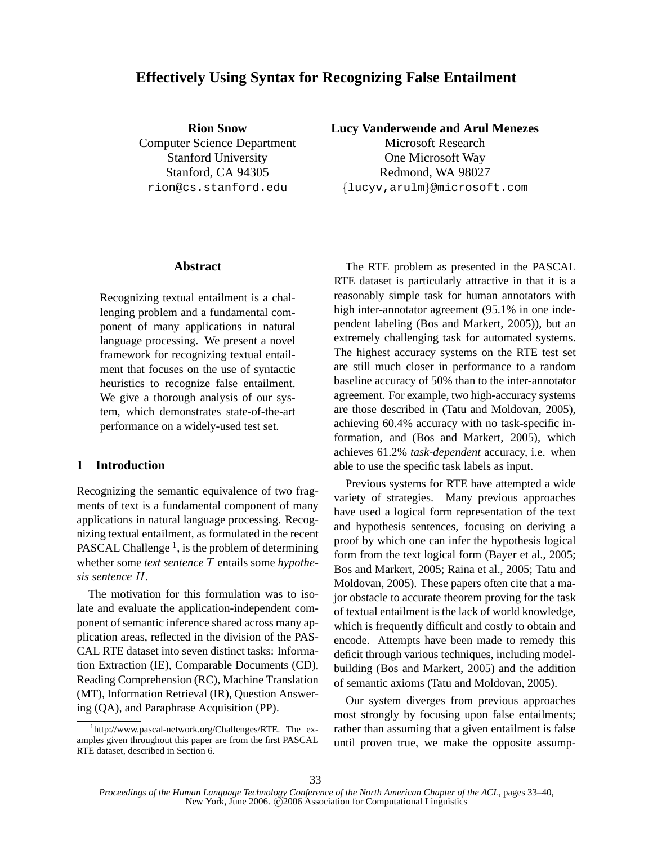# **Effectively Using Syntax for Recognizing False Entailment**

**Rion Snow** Computer Science Department Stanford University Stanford, CA 94305 rion@cs.stanford.edu

**Lucy Vanderwende and Arul Menezes**

Microsoft Research One Microsoft Way Redmond, WA 98027 {lucyv,arulm}@microsoft.com

## **Abstract**

Recognizing textual entailment is a challenging problem and a fundamental component of many applications in natural language processing. We present a novel framework for recognizing textual entailment that focuses on the use of syntactic heuristics to recognize false entailment. We give a thorough analysis of our system, which demonstrates state-of-the-art performance on a widely-used test set.

# **1 Introduction**

Recognizing the semantic equivalence of two fragments of text is a fundamental component of many applications in natural language processing. Recognizing textual entailment, as formulated in the recent PASCAL Challenge<sup>1</sup>, is the problem of determining whether some *text sentence* T entails some *hypothesis sentence* H.

The motivation for this formulation was to isolate and evaluate the application-independent component of semantic inference shared across many application areas, reflected in the division of the PAS-CAL RTE dataset into seven distinct tasks: Information Extraction (IE), Comparable Documents (CD), Reading Comprehension (RC), Machine Translation (MT), Information Retrieval (IR), Question Answering (QA), and Paraphrase Acquisition (PP).

The RTE problem as presented in the PASCAL RTE dataset is particularly attractive in that it is a reasonably simple task for human annotators with high inter-annotator agreement (95.1% in one independent labeling (Bos and Markert, 2005)), but an extremely challenging task for automated systems. The highest accuracy systems on the RTE test set are still much closer in performance to a random baseline accuracy of 50% than to the inter-annotator agreement. For example, two high-accuracy systems are those described in (Tatu and Moldovan, 2005), achieving 60.4% accuracy with no task-specific information, and (Bos and Markert, 2005), which achieves 61.2% *task-dependent* accuracy, i.e. when able to use the specific task labels as input.

Previous systems for RTE have attempted a wide variety of strategies. Many previous approaches have used a logical form representation of the text and hypothesis sentences, focusing on deriving a proof by which one can infer the hypothesis logical form from the text logical form (Bayer et al., 2005; Bos and Markert, 2005; Raina et al., 2005; Tatu and Moldovan, 2005). These papers often cite that a major obstacle to accurate theorem proving for the task of textual entailment is the lack of world knowledge, which is frequently difficult and costly to obtain and encode. Attempts have been made to remedy this deficit through various techniques, including modelbuilding (Bos and Markert, 2005) and the addition of semantic axioms (Tatu and Moldovan, 2005).

Our system diverges from previous approaches most strongly by focusing upon false entailments; rather than assuming that a given entailment is false until proven true, we make the opposite assump-

<sup>1</sup> http://www.pascal-network.org/Challenges/RTE. The examples given throughout this paper are from the first PASCAL RTE dataset, described in Section 6.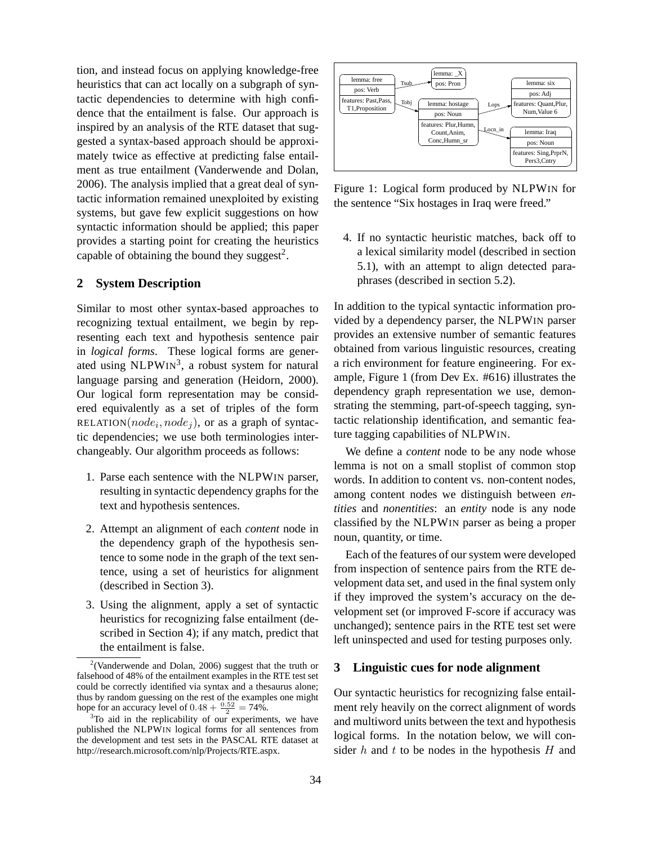tion, and instead focus on applying knowledge-free heuristics that can act locally on a subgraph of syntactic dependencies to determine with high confidence that the entailment is false. Our approach is inspired by an analysis of the RTE dataset that suggested a syntax-based approach should be approximately twice as effective at predicting false entailment as true entailment (Vanderwende and Dolan, 2006). The analysis implied that a great deal of syntactic information remained unexploited by existing systems, but gave few explicit suggestions on how syntactic information should be applied; this paper provides a starting point for creating the heuristics capable of obtaining the bound they suggest<sup>2</sup>.

# **2 System Description**

Similar to most other syntax-based approaches to recognizing textual entailment, we begin by representing each text and hypothesis sentence pair in *logical forms*. These logical forms are generated using NLPWIN<sup>3</sup>, a robust system for natural language parsing and generation (Heidorn, 2000). Our logical form representation may be considered equivalently as a set of triples of the form RELATION( $node_i, node_j$ ), or as a graph of syntactic dependencies; we use both terminologies interchangeably. Our algorithm proceeds as follows:

- 1. Parse each sentence with the NLPWIN parser, resulting in syntactic dependency graphs for the text and hypothesis sentences.
- 2. Attempt an alignment of each *content* node in the dependency graph of the hypothesis sentence to some node in the graph of the text sentence, using a set of heuristics for alignment (described in Section 3).
- 3. Using the alignment, apply a set of syntactic heuristics for recognizing false entailment (described in Section 4); if any match, predict that the entailment is false.



Figure 1: Logical form produced by NLPWIN for the sentence "Six hostages in Iraq were freed."

4. If no syntactic heuristic matches, back off to a lexical similarity model (described in section 5.1), with an attempt to align detected paraphrases (described in section 5.2).

In addition to the typical syntactic information provided by a dependency parser, the NLPWIN parser provides an extensive number of semantic features obtained from various linguistic resources, creating a rich environment for feature engineering. For example, Figure 1 (from Dev Ex. #616) illustrates the dependency graph representation we use, demonstrating the stemming, part-of-speech tagging, syntactic relationship identification, and semantic feature tagging capabilities of NLPWIN.

We define a *content* node to be any node whose lemma is not on a small stoplist of common stop words. In addition to content vs. non-content nodes, among content nodes we distinguish between *entities* and *nonentities*: an *entity* node is any node classified by the NLPWIN parser as being a proper noun, quantity, or time.

Each of the features of our system were developed from inspection of sentence pairs from the RTE development data set, and used in the final system only if they improved the system's accuracy on the development set (or improved F-score if accuracy was unchanged); sentence pairs in the RTE test set were left uninspected and used for testing purposes only.

# **3 Linguistic cues for node alignment**

Our syntactic heuristics for recognizing false entailment rely heavily on the correct alignment of words and multiword units between the text and hypothesis logical forms. In the notation below, we will consider  $h$  and  $t$  to be nodes in the hypothesis  $H$  and

<sup>&</sup>lt;sup>2</sup>(Vanderwende and Dolan, 2006) suggest that the truth or falsehood of 48% of the entailment examples in the RTE test set could be correctly identified via syntax and a thesaurus alone; thus by random guessing on the rest of the examples one might hope for an accuracy level of  $0.48 + \frac{0.52}{2} = 74\%$ .

<sup>&</sup>lt;sup>3</sup>To aid in the replicability of our experiments, we have published the NLPWIN logical forms for all sentences from the development and test sets in the PASCAL RTE dataset at http://research.microsoft.com/nlp/Projects/RTE.aspx.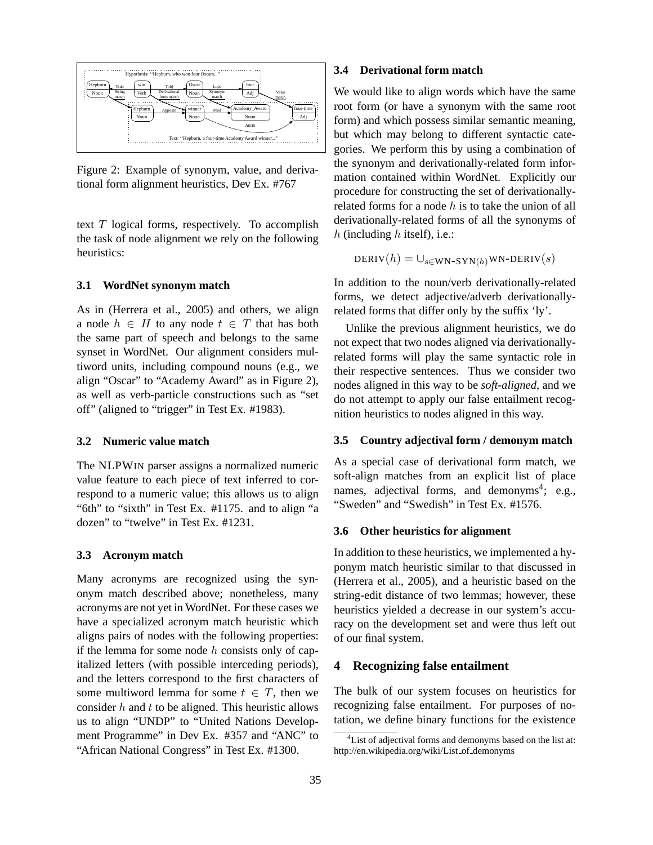

Figure 2: Example of synonym, value, and derivational form alignment heuristics, Dev Ex. #767

text  $T$  logical forms, respectively. To accomplish the task of node alignment we rely on the following heuristics:

#### **3.1 WordNet synonym match**

As in (Herrera et al., 2005) and others, we align a node  $h \in H$  to any node  $t \in T$  that has both the same part of speech and belongs to the same synset in WordNet. Our alignment considers multiword units, including compound nouns (e.g., we align "Oscar" to "Academy Award" as in Figure 2), as well as verb-particle constructions such as "set off" (aligned to "trigger" in Test Ex. #1983).

#### **3.2 Numeric value match**

The NLPWIN parser assigns a normalized numeric value feature to each piece of text inferred to correspond to a numeric value; this allows us to align "6th" to "sixth" in Test Ex. #1175. and to align "a dozen" to "twelve" in Test Ex. #1231.

#### **3.3 Acronym match**

Many acronyms are recognized using the synonym match described above; nonetheless, many acronyms are not yet in WordNet. For these cases we have a specialized acronym match heuristic which aligns pairs of nodes with the following properties: if the lemma for some node  $h$  consists only of capitalized letters (with possible interceding periods), and the letters correspond to the first characters of some multiword lemma for some  $t \in T$ , then we consider  $h$  and  $t$  to be aligned. This heuristic allows us to align "UNDP" to "United Nations Development Programme" in Dev Ex. #357 and "ANC" to "African National Congress" in Test Ex. #1300.

#### **3.4 Derivational form match**

We would like to align words which have the same root form (or have a synonym with the same root form) and which possess similar semantic meaning, but which may belong to different syntactic categories. We perform this by using a combination of the synonym and derivationally-related form information contained within WordNet. Explicitly our procedure for constructing the set of derivationallyrelated forms for a node  $h$  is to take the union of all derivationally-related forms of all the synonyms of h (including  $h$  itself), i.e.:

 $DERIV(h) = \bigcup_{s \in \text{WN-SYN}(h)} \text{WN-DERIV}(s)$ 

In addition to the noun/verb derivationally-related forms, we detect adjective/adverb derivationallyrelated forms that differ only by the suffix 'ly'.

Unlike the previous alignment heuristics, we do not expect that two nodes aligned via derivationallyrelated forms will play the same syntactic role in their respective sentences. Thus we consider two nodes aligned in this way to be *soft-aligned*, and we do not attempt to apply our false entailment recognition heuristics to nodes aligned in this way.

#### **3.5 Country adjectival form / demonym match**

As a special case of derivational form match, we soft-align matches from an explicit list of place names, adjectival forms, and demonyms<sup>4</sup>; e.g., "Sweden" and "Swedish" in Test Ex. #1576.

#### **3.6 Other heuristics for alignment**

In addition to these heuristics, we implemented a hyponym match heuristic similar to that discussed in (Herrera et al., 2005), and a heuristic based on the string-edit distance of two lemmas; however, these heuristics yielded a decrease in our system's accuracy on the development set and were thus left out of our final system.

### **4 Recognizing false entailment**

The bulk of our system focuses on heuristics for recognizing false entailment. For purposes of notation, we define binary functions for the existence

<sup>&</sup>lt;sup>4</sup>List of adjectival forms and demonyms based on the list at: http://en.wikipedia.org/wiki/List of demonyms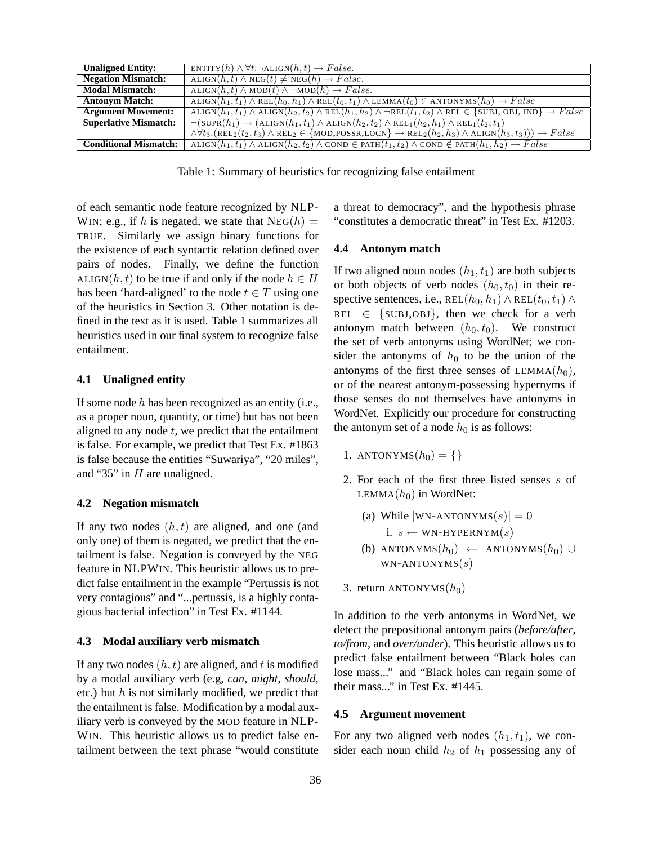| $\overline{\text{ENTITY}(h) \wedge \forall t.\neg \text{ALIGN}(h,t) \rightarrow False.}$                                                                                                        |
|-------------------------------------------------------------------------------------------------------------------------------------------------------------------------------------------------|
| $ALIGN(h, t) \wedge NEG(t) \neq NEG(h) \rightarrow False.$                                                                                                                                      |
| ALIGN $(h, t) \wedge \text{MOD}(t) \wedge \neg \text{MOD}(h) \rightarrow False.$                                                                                                                |
| ALIGN $(h_1, t_1) \wedge \text{REL}(h_0, h_1) \wedge \text{REL}(t_0, t_1) \wedge \text{LEMMA}(t_0) \in \text{ANTONYMS}(h_0) \rightarrow False$                                                  |
| $ALIGN(h_1, t_1) \wedge ALIGN(h_2, t_2) \wedge REL(h_1, h_2) \wedge \neg REL(t_1, t_2) \wedge REL \in \{SUBJ, OBI, IND\} \rightarrow False$                                                     |
| $\neg(SUPR(h_1) \rightarrow (ALIGN(h_1, t_1) \land ALIGN(h_2, t_2) \land REL_1(h_2, h_1) \land REL_1(t_2, t_1))$                                                                                |
| $\wedge \forall t_3.(\text{REL}_2(t_2,t_3) \wedge \text{REL}_2 \in \{\text{MOD}, \text{POSSR}, \text{LOCN}\} \rightarrow \text{REL}_2(h_2,h_3) \wedge \text{ALIGN}(h_3,t_3)) \rightarrow False$ |
| ALIGN $(h_1, t_1) \wedge$ ALIGN $(h_2, t_2) \wedge$ COND $\in$ PATH $(t_1, t_2) \wedge$ COND $\notin$ PATH $(h_1, h_2) \rightarrow False$                                                       |
|                                                                                                                                                                                                 |

Table 1: Summary of heuristics for recognizing false entailment

of each semantic node feature recognized by NLP-WIN; e.g., if h is negated, we state that  $NEG(h) =$ TRUE. Similarly we assign binary functions for the existence of each syntactic relation defined over pairs of nodes. Finally, we define the function ALIGN( $h, t$ ) to be true if and only if the node  $h \in H$ has been 'hard-aligned' to the node  $t \in T$  using one of the heuristics in Section 3. Other notation is defined in the text as it is used. Table 1 summarizes all heuristics used in our final system to recognize false entailment.

#### **4.1 Unaligned entity**

If some node  $h$  has been recognized as an entity (i.e., as a proper noun, quantity, or time) but has not been aligned to any node  $t$ , we predict that the entailment is false. For example, we predict that Test Ex. #1863 is false because the entities "Suwariya", "20 miles", and "35" in  $H$  are unaligned.

#### **4.2 Negation mismatch**

If any two nodes  $(h, t)$  are aligned, and one (and only one) of them is negated, we predict that the entailment is false. Negation is conveyed by the NEG feature in NLPWIN. This heuristic allows us to predict false entailment in the example "Pertussis is not very contagious" and "...pertussis, is a highly contagious bacterial infection" in Test Ex. #1144.

#### **4.3 Modal auxiliary verb mismatch**

If any two nodes  $(h, t)$  are aligned, and t is modified by a modal auxiliary verb (e.g, *can*, *might*, *should*, etc.) but  $h$  is not similarly modified, we predict that the entailment is false. Modification by a modal auxiliary verb is conveyed by the MOD feature in NLP-WIN. This heuristic allows us to predict false entailment between the text phrase "would constitute a threat to democracy", and the hypothesis phrase "constitutes a democratic threat" in Test Ex. #1203.

#### **4.4 Antonym match**

If two aligned noun nodes  $(h_1, t_1)$  are both subjects or both objects of verb nodes  $(h_0, t_0)$  in their respective sentences, i.e., REL $(h_0, h_1) \wedge \text{REL}(t_0, t_1) \wedge$ REL  $\in$  {SUBJ, OBJ}, then we check for a verb antonym match between  $(h_0, t_0)$ . We construct the set of verb antonyms using WordNet; we consider the antonyms of  $h_0$  to be the union of the antonyms of the first three senses of LEMMA $(h_0)$ , or of the nearest antonym-possessing hypernyms if those senses do not themselves have antonyms in WordNet. Explicitly our procedure for constructing the antonym set of a node  $h_0$  is as follows:

- 1. ANTONYMS $(h_0) = \{\}$
- 2. For each of the first three listed senses s of LEMMA $(h_0)$  in WordNet:

(a) While |WN-ANTONYMS(s)| = 0  
i. 
$$
s \leftarrow \text{WN-HYPERNYM}(s)
$$

- (b) ANTONYMS $(h_0) \leftarrow$  ANTONYMS $(h_0) \cup$  $WN-ANTONYMS(s)$
- 3. return ANTONYMS $(h_0)$

In addition to the verb antonyms in WordNet, we detect the prepositional antonym pairs (*before/after*, *to/from*, and *over/under*). This heuristic allows us to predict false entailment between "Black holes can lose mass..." and "Black holes can regain some of their mass..." in Test Ex. #1445.

#### **4.5 Argument movement**

For any two aligned verb nodes  $(h_1, t_1)$ , we consider each noun child  $h_2$  of  $h_1$  possessing any of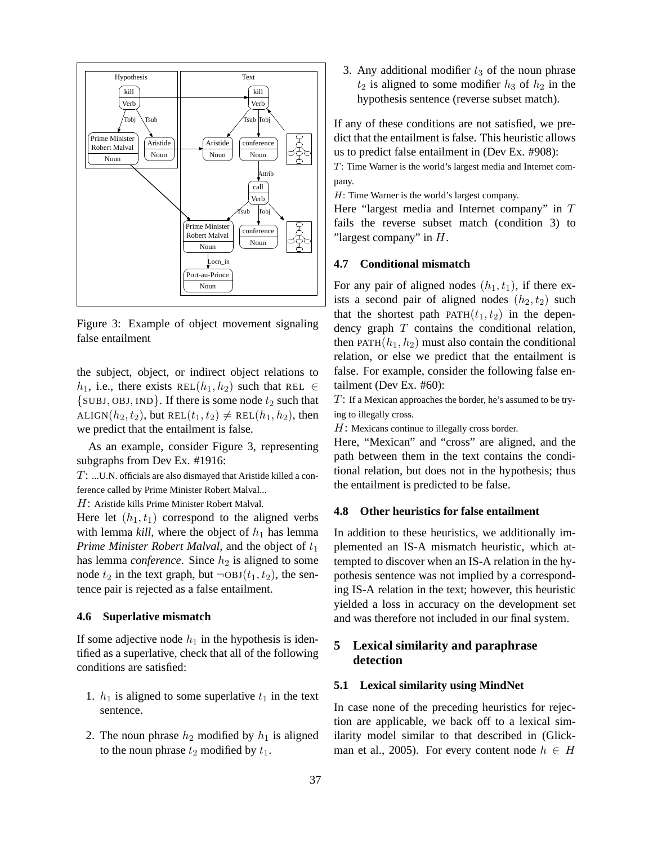

Figure 3: Example of object movement signaling false entailment

the subject, object, or indirect object relations to  $h_1$ , i.e., there exists REL $(h_1, h_2)$  such that REL  $\in$  $\{SUBJ, OBJ, IND\}$ . If there is some node  $t_2$  such that ALIGN( $h_2, t_2$ ), but REL( $t_1, t_2$ )  $\neq$  REL( $h_1, h_2$ ), then we predict that the entailment is false.

As an example, consider Figure 3, representing subgraphs from Dev Ex. #1916:

T: ...U.N. officials are also dismayed that Aristide killed a conference called by Prime Minister Robert Malval...

H: Aristide kills Prime Minister Robert Malval.

Here let  $(h_1, t_1)$  correspond to the aligned verbs with lemma *kill*, where the object of  $h_1$  has lemma *Prime Minister Robert Malval*, and the object of  $t_1$ has lemma *conference*. Since  $h_2$  is aligned to some node  $t_2$  in the text graph, but  $\neg$ OBJ $(t_1, t_2)$ , the sentence pair is rejected as a false entailment.

### **4.6 Superlative mismatch**

If some adjective node  $h_1$  in the hypothesis is identified as a superlative, check that all of the following conditions are satisfied:

- 1.  $h_1$  is aligned to some superlative  $t_1$  in the text sentence.
- 2. The noun phrase  $h_2$  modified by  $h_1$  is aligned to the noun phrase  $t_2$  modified by  $t_1$ .

3. Any additional modifier  $t_3$  of the noun phrase  $t_2$  is aligned to some modifier  $h_3$  of  $h_2$  in the hypothesis sentence (reverse subset match).

If any of these conditions are not satisfied, we predict that the entailment is false. This heuristic allows us to predict false entailment in (Dev Ex. #908):

T: Time Warner is the world's largest media and Internet company.

H: Time Warner is the world's largest company.

Here "largest media and Internet company" in T fails the reverse subset match (condition 3) to "largest company" in  $H$ .

### **4.7 Conditional mismatch**

For any pair of aligned nodes  $(h_1, t_1)$ , if there exists a second pair of aligned nodes  $(h_2, t_2)$  such that the shortest path  $PATH(t_1, t_2)$  in the dependency graph  $T$  contains the conditional relation, then PATH $(h_1, h_2)$  must also contain the conditional relation, or else we predict that the entailment is false. For example, consider the following false entailment (Dev Ex. #60):

 $T$ : If a Mexican approaches the border, he's assumed to be trying to illegally cross.

 $H$ : Mexicans continue to illegally cross border.

Here, "Mexican" and "cross" are aligned, and the path between them in the text contains the conditional relation, but does not in the hypothesis; thus the entailment is predicted to be false.

### **4.8 Other heuristics for false entailment**

In addition to these heuristics, we additionally implemented an IS-A mismatch heuristic, which attempted to discover when an IS-A relation in the hypothesis sentence was not implied by a corresponding IS-A relation in the text; however, this heuristic yielded a loss in accuracy on the development set and was therefore not included in our final system.

# **5 Lexical similarity and paraphrase detection**

### **5.1 Lexical similarity using MindNet**

In case none of the preceding heuristics for rejection are applicable, we back off to a lexical similarity model similar to that described in (Glickman et al., 2005). For every content node  $h \in H$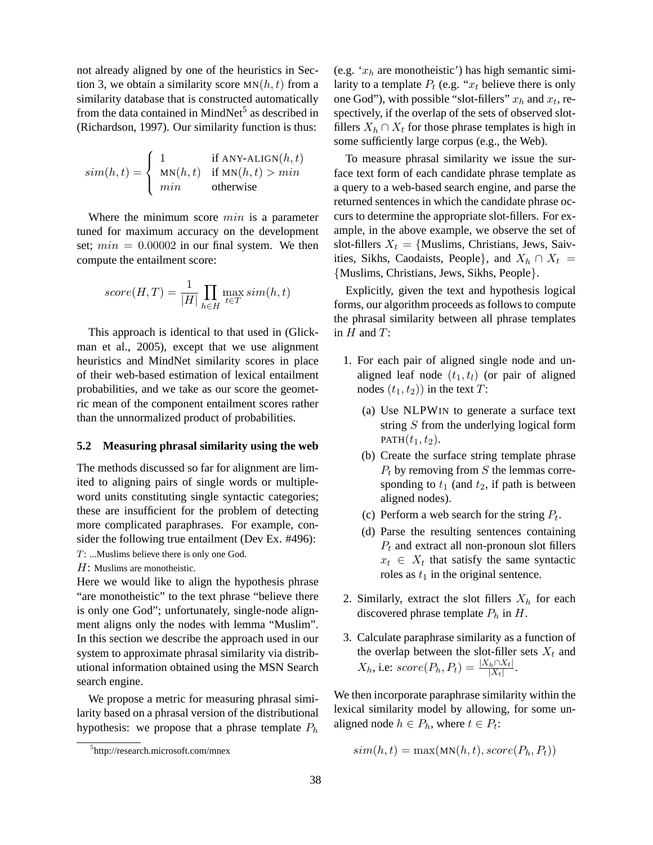not already aligned by one of the heuristics in Section 3, we obtain a similarity score  $MN(h, t)$  from a similarity database that is constructed automatically from the data contained in MindNet<sup>5</sup> as described in (Richardson, 1997). Our similarity function is thus:

$$
sim(h, t) = \begin{cases} 1 & \text{if ANY-ALIGN}(h, t) \\ \text{MN}(h, t) & \text{if MN}(h, t) > min \\ min & \text{otherwise} \end{cases}
$$

Where the minimum score  $min$  is a parameter tuned for maximum accuracy on the development set;  $min = 0.00002$  in our final system. We then compute the entailment score:

$$
score(H, T) = \frac{1}{|H|} \prod_{h \in H} \max_{t \in T} sim(h, t)
$$

This approach is identical to that used in (Glickman et al., 2005), except that we use alignment heuristics and MindNet similarity scores in place of their web-based estimation of lexical entailment probabilities, and we take as our score the geometric mean of the component entailment scores rather than the unnormalized product of probabilities.

### **5.2 Measuring phrasal similarity using the web**

The methods discussed so far for alignment are limited to aligning pairs of single words or multipleword units constituting single syntactic categories; these are insufficient for the problem of detecting more complicated paraphrases. For example, consider the following true entailment (Dev Ex. #496): T: ...Muslims believe there is only one God.

 $H$ : Muslims are monotheistic.

Here we would like to align the hypothesis phrase "are monotheistic" to the text phrase "believe there is only one God"; unfortunately, single-node alignment aligns only the nodes with lemma "Muslim". In this section we describe the approach used in our system to approximate phrasal similarity via distributional information obtained using the MSN Search search engine.

We propose a metric for measuring phrasal similarity based on a phrasal version of the distributional hypothesis: we propose that a phrase template  $P_h$  (e.g.  $x_h$  are monotheistic') has high semantic similarity to a template  $P_t$  (e.g. " $x_t$  believe there is only one God"), with possible "slot-fillers"  $x_h$  and  $x_t$ , respectively, if the overlap of the sets of observed slotfillers  $X_h \cap X_t$  for those phrase templates is high in some sufficiently large corpus (e.g., the Web).

To measure phrasal similarity we issue the surface text form of each candidate phrase template as a query to a web-based search engine, and parse the returned sentences in which the candidate phrase occurs to determine the appropriate slot-fillers. For example, in the above example, we observe the set of slot-fillers  $X_t = \{$ Muslims, Christians, Jews, Saivities, Sikhs, Caodaists, People}, and  $X_h \cap X_t =$ {Muslims, Christians, Jews, Sikhs, People}.

Explicitly, given the text and hypothesis logical forms, our algorithm proceeds as follows to compute the phrasal similarity between all phrase templates in  $H$  and  $T$ :

- 1. For each pair of aligned single node and unaligned leaf node  $(t_1, t_1)$  (or pair of aligned nodes  $(t_1, t_2)$  in the text T:
	- (a) Use NLPWIN to generate a surface text string  $S$  from the underlying logical form PATH $(t_1, t_2)$ .
	- (b) Create the surface string template phrase  $P_t$  by removing from S the lemmas corresponding to  $t_1$  (and  $t_2$ , if path is between aligned nodes).
	- (c) Perform a web search for the string  $P_t$ .
	- (d) Parse the resulting sentences containing  $P_t$  and extract all non-pronoun slot fillers  $x_t \in X_t$  that satisfy the same syntactic roles as  $t_1$  in the original sentence.
- 2. Similarly, extract the slot fillers  $X_h$  for each discovered phrase template  $P_h$  in H.
- 3. Calculate paraphrase similarity as a function of the overlap between the slot-filler sets  $X_t$  and  $X_h$ , i.e:  $score(P_h, P_t) = \frac{|X_h \cap X_t|}{|X_t|}.$

We then incorporate paraphrase similarity within the lexical similarity model by allowing, for some unaligned node  $h \in P_h$ , where  $t \in P_t$ :

$$
sim(h, t) = \max(\text{MN}(h, t), score(P_h, P_t))
$$

<sup>5</sup> http://research.microsoft.com/mnex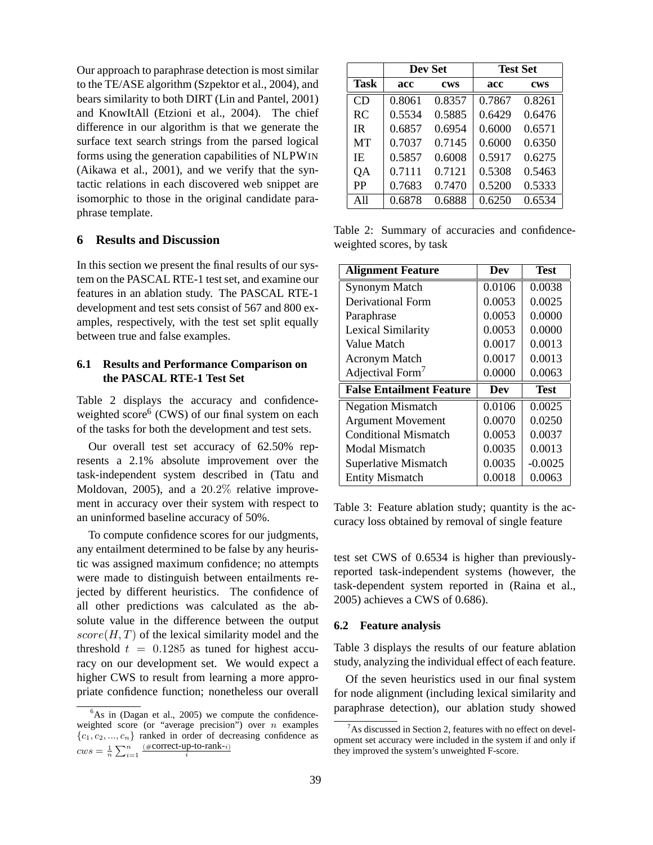Our approach to paraphrase detection is most similar to the TE/ASE algorithm (Szpektor et al., 2004), and bears similarity to both DIRT (Lin and Pantel, 2001) and KnowItAll (Etzioni et al., 2004). The chief difference in our algorithm is that we generate the surface text search strings from the parsed logical forms using the generation capabilities of NLPWIN (Aikawa et al., 2001), and we verify that the syntactic relations in each discovered web snippet are isomorphic to those in the original candidate paraphrase template.

# **6 Results and Discussion**

In this section we present the final results of our system on the PASCAL RTE-1 test set, and examine our features in an ablation study. The PASCAL RTE-1 development and test sets consist of 567 and 800 examples, respectively, with the test set split equally between true and false examples.

# **6.1 Results and Performance Comparison on the PASCAL RTE-1 Test Set**

Table 2 displays the accuracy and confidenceweighted score<sup>6</sup> (CWS) of our final system on each of the tasks for both the development and test sets.

Our overall test set accuracy of 62.50% represents a 2.1% absolute improvement over the task-independent system described in (Tatu and Moldovan, 2005), and a 20.2% relative improvement in accuracy over their system with respect to an uninformed baseline accuracy of 50%.

To compute confidence scores for our judgments, any entailment determined to be false by any heuristic was assigned maximum confidence; no attempts were made to distinguish between entailments rejected by different heuristics. The confidence of all other predictions was calculated as the absolute value in the difference between the output  $score(H, T)$  of the lexical similarity model and the threshold  $t = 0.1285$  as tuned for highest accuracy on our development set. We would expect a higher CWS to result from learning a more appropriate confidence function; nonetheless our overall

|             | Dev Set |            | <b>Test Set</b> |            |
|-------------|---------|------------|-----------------|------------|
| <b>Task</b> | acc     | <b>CWS</b> | acc             | <b>CWS</b> |
| CD          | 0.8061  | 0.8357     | 0.7867          | 0.8261     |
| <b>RC</b>   | 0.5534  | 0.5885     | 0.6429          | 0.6476     |
| IR          | 0.6857  | 0.6954     | 0.6000          | 0.6571     |
| MT          | 0.7037  | 0.7145     | 0.6000          | 0.6350     |
| IE.         | 0.5857  | 0.6008     | 0.5917          | 0.6275     |
| QA          | 0.7111  | 0.7121     | 0.5308          | 0.5463     |
| <b>PP</b>   | 0.7683  | 0.7470     | 0.5200          | 0.5333     |
| All         | 0.6878  | 0.6888     | 0.6250          | 0.6534     |

Table 2: Summary of accuracies and confidenceweighted scores, by task

| <b>Alignment Feature</b>        | Dev    | <b>Test</b> |
|---------------------------------|--------|-------------|
| <b>Synonym Match</b>            | 0.0106 | 0.0038      |
| <b>Derivational Form</b>        | 0.0053 | 0.0025      |
| Paraphrase                      | 0.0053 | 0.0000      |
| <b>Lexical Similarity</b>       | 0.0053 | 0.0000      |
| Value Match                     | 0.0017 | 0.0013      |
| <b>Acronym Match</b>            | 0.0017 | 0.0013      |
| Adjectival Form <sup>7</sup>    | 0.0000 | 0.0063      |
| <b>False Entailment Feature</b> | Dev    | <b>Test</b> |
| <b>Negation Mismatch</b>        | 0.0106 | 0.0025      |
| <b>Argument Movement</b>        | 0.0070 | 0.0250      |
| Conditional Mismatch            | 0.0053 | 0.0037      |
| Modal Mismatch                  | 0.0035 | 0.0013      |
| <b>Superlative Mismatch</b>     | 0.0035 | $-0.0025$   |
| <b>Entity Mismatch</b>          | 0.0018 | 0.0063      |

Table 3: Feature ablation study; quantity is the accuracy loss obtained by removal of single feature

test set CWS of 0.6534 is higher than previouslyreported task-independent systems (however, the task-dependent system reported in (Raina et al., 2005) achieves a CWS of 0.686).

#### **6.2 Feature analysis**

Table 3 displays the results of our feature ablation study, analyzing the individual effect of each feature.

Of the seven heuristics used in our final system for node alignment (including lexical similarity and paraphrase detection), our ablation study showed

 $6$ As in (Dagan et al., 2005) we compute the confidenceweighted score (or "average precision") over  $n$  examples  ${c_1, c_2, ..., c_n}$  ranked in order of decreasing confidence as  $cws = \frac{1}{n} \sum_{i=1}^{n}$  $\sum_{i=1}^{n} \frac{(\text{\#correct-up-to-rank-}i)}{i}$ 

 $7$ As discussed in Section 2, features with no effect on development set accuracy were included in the system if and only if they improved the system's unweighted F-score.